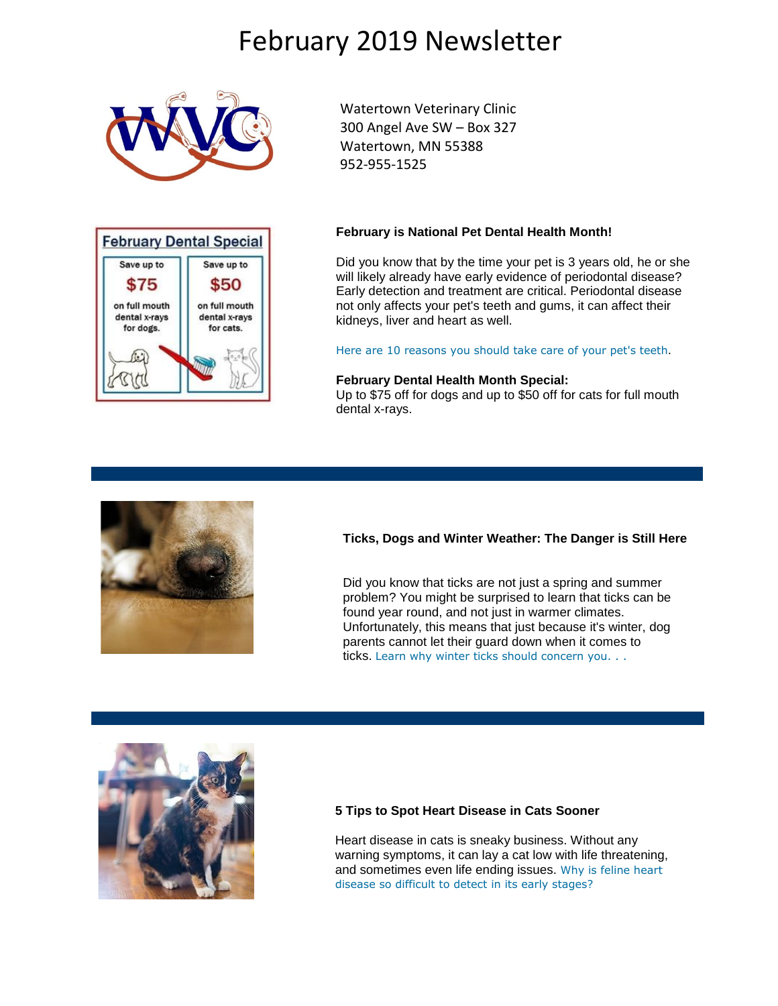# February 2019 Newsletter





Watertown Veterinary Clinic 300 Angel Ave SW – Box 327 Watertown, MN 55388 952-955-1525

#### **February is National Pet Dental Health Month!**

Did you know that by the time your pet is 3 years old, he or she will likely already have early evidence of periodontal disease? Early detection and treatment are critical. Periodontal disease not only affects your pet's teeth and gums, it can affect their kidneys, liver and heart as well.

[Here are 10 reasons you should take care of your pet's teeth](http://www.pethealthnetwork.com/dog-health/dog-checkups-preventive-care/10-reasons-why-you-should-take-care-your-pets-teeth).

#### **February Dental Health Month Special:**

Up to \$75 off for dogs and up to \$50 off for cats for full mouth dental x-rays.



### **Ticks, Dogs and Winter Weather: The Danger is Still Here**

Did you know that ticks are not just a spring and summer problem? You might be surprised to learn that ticks can be found year round, and not just in warmer climates. Unfortunately, this means that just because it's winter, dog parents cannot let their guard down when it comes to ticks. [Learn why winter ticks should concern you. . .](http://pethealthnetwork.com/dog-health/dog-checkups-preventive-care/ticks-dogs-and-winter-weather-danger-still-here?utm_source=phnpro&utm_medium=newsletter&utm_content=2019.02)



### **5 Tips to Spot Heart Disease in Cats Sooner**

Heart disease in cats is sneaky business. Without any warning symptoms, it can lay a cat low with life threatening, and sometimes even life ending issues. [Why is feline heart](http://www.pethealthnetwork.com/cat-health/cat-diseases-conditions-a-z/5-tips-spot-heart-disease-cats-sooner?utm_source=phnpro&utm_medium=newsletter&utm_content=2019.02)  [disease so difficult to detect in its early stages?](http://www.pethealthnetwork.com/cat-health/cat-diseases-conditions-a-z/5-tips-spot-heart-disease-cats-sooner?utm_source=phnpro&utm_medium=newsletter&utm_content=2019.02)